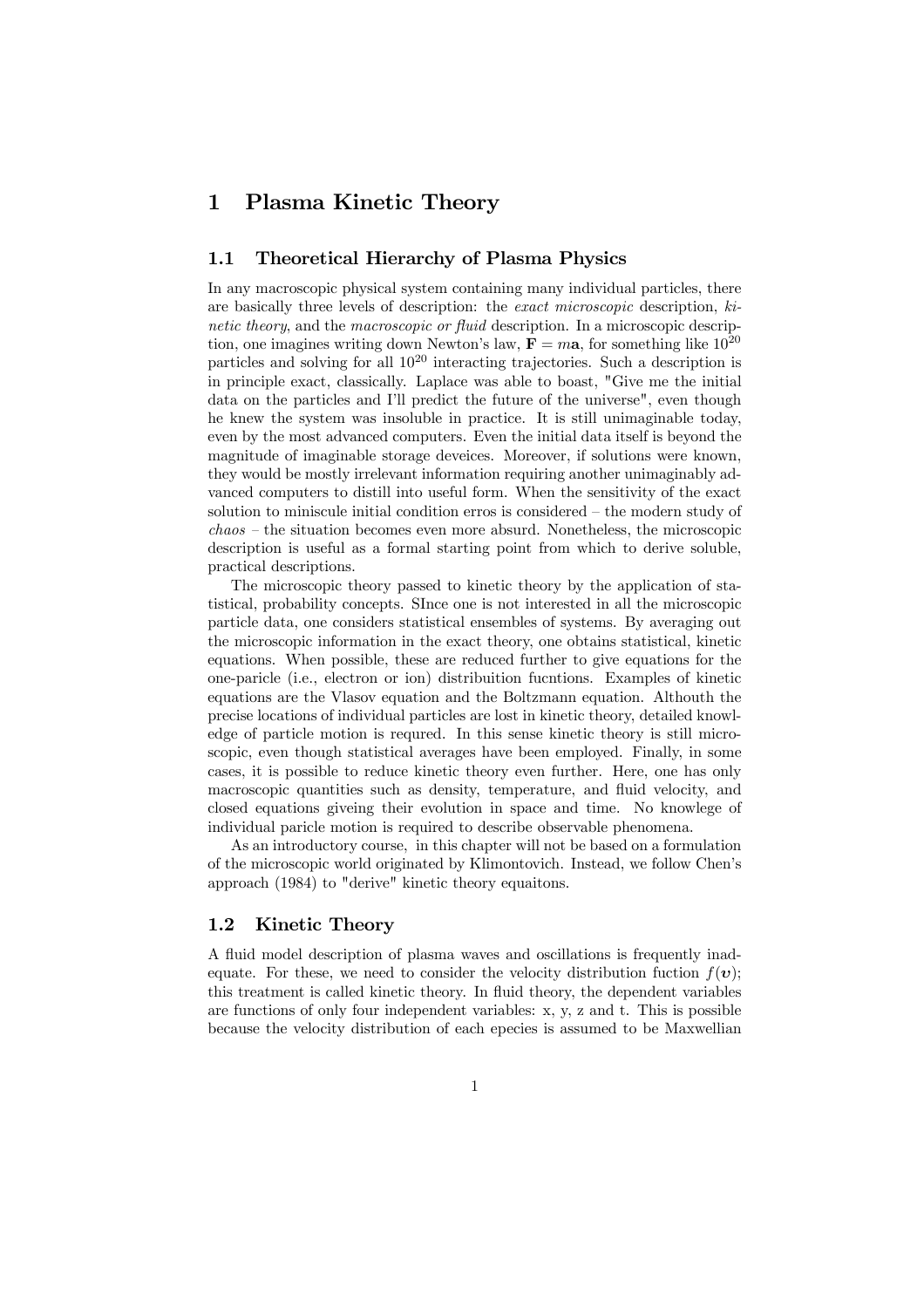# 1 Plasma Kinetic Theory

## 1.1 Theoretical Hierarchy of Plasma Physics

In any macroscopic physical system containing many individual particles, there are basically three levels of description: the exact microscopic description, kinetic theory, and the macroscopic or fluid description. In a microscopic description, one imagines writing down Newton's law,  $\mathbf{F} = m\mathbf{a}$ , for something like  $10^{20}$ particles and solving for all 10<sup>20</sup> interacting trajectories. Such a description is in principle exact, classically. Laplace was able to boast, "Give me the initial data on the particles and I'll predict the future of the universe", even though he knew the system was insoluble in practice. It is still unimaginable today, even by the most advanced computers. Even the initial data itself is beyond the magnitude of imaginable storage deveices. Moreover, if solutions were known, they would be mostly irrelevant information requiring another unimaginably advanced computers to distill into useful form. When the sensitivity of the exact solution to miniscule initial condition erros is considered — the modern study of chaos — the situation becomes even more absurd. Nonetheless, the microscopic description is useful as a formal starting point from which to derive soluble, practical descriptions.

The microscopic theory passed to kinetic theory by the application of statistical, probability concepts. SInce one is not interested in all the microscopic particle data, one considers statistical ensembles of systems. By averaging out the microscopic information in the exact theory, one obtains statistical, kinetic equations. When possible, these are reduced further to give equations for the one-paricle (i.e., electron or ion) distribuition fucntions. Examples of kinetic equations are the Vlasov equation and the Boltzmann equation. Althouth the precise locations of individual particles are lost in kinetic theory, detailed knowledge of particle motion is requred. In this sense kinetic theory is still microscopic, even though statistical averages have been employed. Finally, in some cases, it is possible to reduce kinetic theory even further. Here, one has only macroscopic quantities such as density, temperature, and fluid velocity, and closed equations giveing their evolution in space and time. No knowlege of individual paricle motion is required to describe observable phenomena.

As an introductory course, in this chapter will not be based on a formulation of the microscopic world originated by Klimontovich. Instead, we follow Chen's approach (1984) to "derive" kinetic theory equaitons.

## 1.2 Kinetic Theory

A fluid model description of plasma waves and oscillations is frequently inadequate. For these, we need to consider the velocity distribution fuction  $f(v)$ ; this treatment is called kinetic theory. In fluid theory, the dependent variables are functions of only four independent variables: x, y, z and t. This is possible because the velocity distribution of each epecies is assumed to be Maxwellian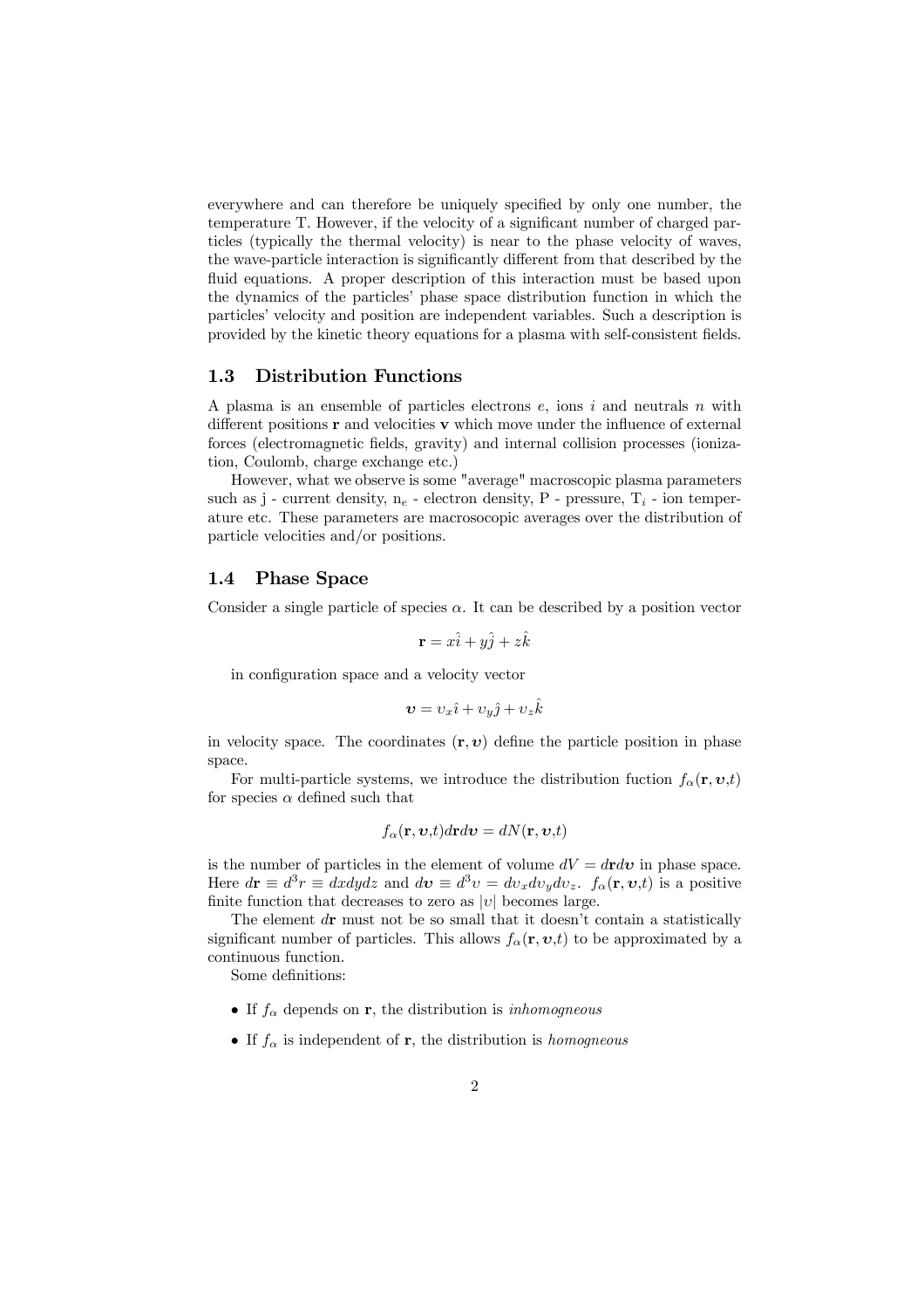everywhere and can therefore be uniquely specified by only one number, the temperature T. However, if the velocity of a significant number of charged particles (typically the thermal velocity) is near to the phase velocity of waves, the wave-particle interaction is significantly different from that described by the fluid equations. A proper description of this interaction must be based upon the dynamics of the particles' phase space distribution function in which the particles' velocity and position are independent variables. Such a description is provided by the kinetic theory equations for a plasma with self-consistent fields.

#### 1.3 Distribution Functions

A plasma is an ensemble of particles electrons  $e$ , ions  $i$  and neutrals  $n$  with different positions **r** and velocities **v** which move under the influence of external forces (electromagnetic fields, gravity) and internal collision processes (ionization, Coulomb, charge exchange etc.)

However, what we observe is some "average" macroscopic plasma parameters such as j - current density,  $n_e$  - electron density, P - pressure,  $T_i$  - ion temperature etc. These parameters are macrosocopic averages over the distribution of particle velocities and/or positions.

#### 1.4 Phase Space

Consider a single particle of species  $\alpha$ . It can be described by a position vector

$$
\mathbf{r} = x\hat{i} + y\hat{j} + z\hat{k}
$$

in configuration space and a velocity vector

$$
\boldsymbol{v}=v_x\hat{\imath}+v_y\hat{\jmath}+v_z\hat{k}
$$

in velocity space. The coordinates  $(\mathbf{r}, v)$  define the particle position in phase space.

For multi-particle systems, we introduce the distribution fuction  $f_{\alpha}(\mathbf{r}, \mathbf{v}, t)$ for species  $\alpha$  defined such that

$$
f_{\alpha}(\mathbf{r},\boldsymbol{v},t)d\mathbf{r}d\boldsymbol{v}=dN(\mathbf{r},\boldsymbol{v},t)
$$

is the number of particles in the element of volume  $dV = dr dv$  in phase space. Here  $d\mathbf{r} \equiv d^3r \equiv dxdydz$  and  $d\mathbf{v} \equiv d^3v = dv_x dv_y dv_z$ .  $f_{\alpha}(\mathbf{r}, v, t)$  is a positive finite function that decreases to zero as  $|v|$  becomes large.

The element  $d\mathbf{r}$  must not be so small that it doesn't contain a statistically significant number of particles. This allows  $f_{\alpha}(\mathbf{r}, \mathbf{v}, t)$  to be approximated by a continuous function.

Some definitions:

- If  $f_\alpha$  depends on **r**, the distribution is *inhomogneous*
- If  $f_{\alpha}$  is independent of **r**, the distribution is *homogneous*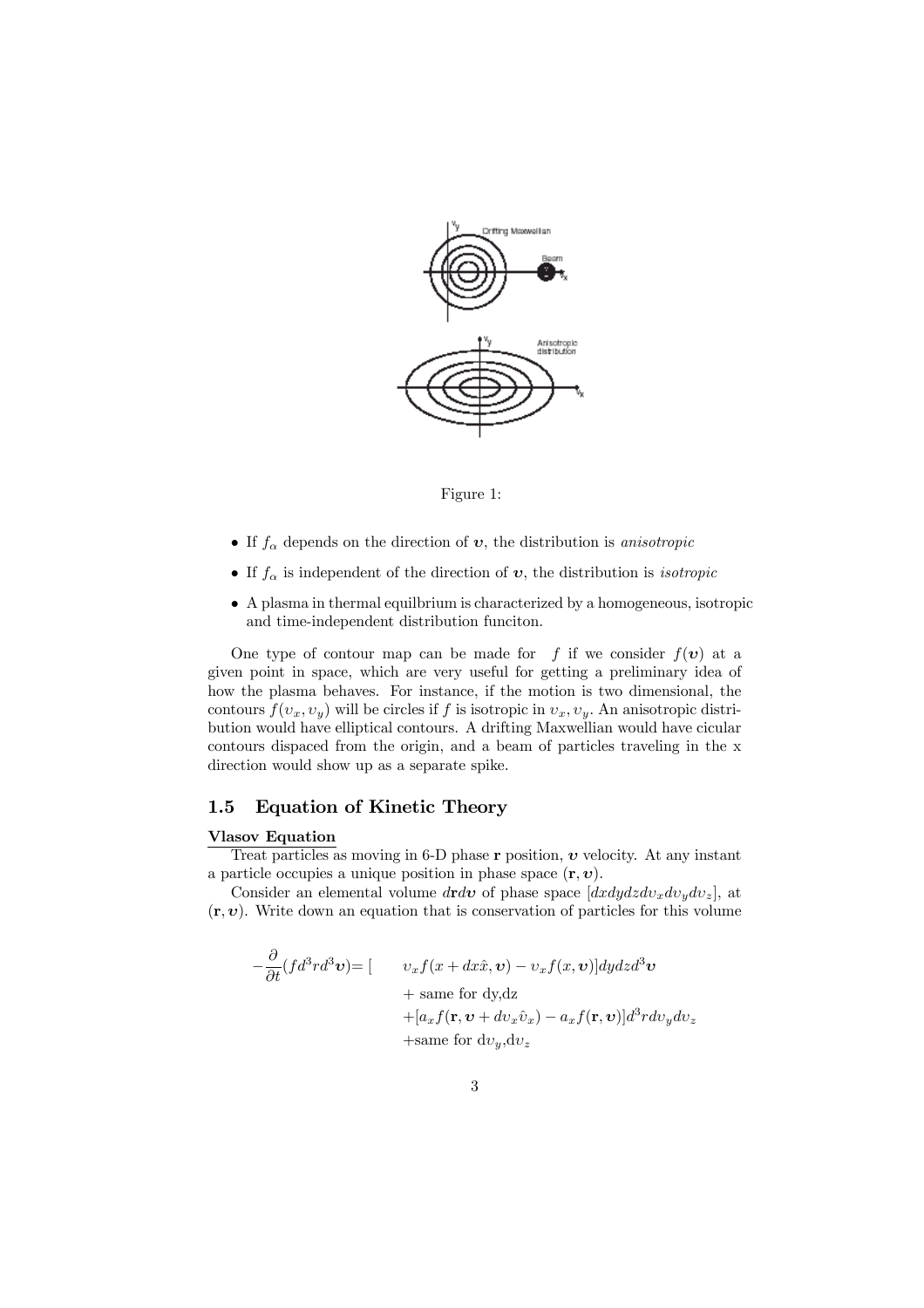

Figure 1:

- If  $f_{\alpha}$  depends on the direction of  $v$ , the distribution is *anisotropic*
- If  $f_{\alpha}$  is independent of the direction of  $v$ , the distribution is *isotropic*
- A plasma in thermal equilbrium is characterized by a homogeneous, isotropic and time-independent distribution funciton.

One type of contour map can be made for f if we consider  $f(v)$  at a given point in space, which are very useful for getting a preliminary idea of how the plasma behaves. For instance, if the motion is two dimensional, the contours  $f(v_x, v_y)$  will be circles if f is isotropic in  $v_x, v_y$ . An anisotropic distribution would have elliptical contours. A drifting Maxwellian would have cicular contours dispaced from the origin, and a beam of particles traveling in the x direction would show up as a separate spike.

# 1.5 Equation of Kinetic Theory

#### Vlasov Equation

Treat particles as moving in 6-D phase r position,  $v$  velocity. At any instant a particle occupies a unique position in phase space  $(\mathbf{r}, \mathbf{v})$ .

Consider an elemental volume drdv of phase space  $[dx dy dz dv_x dv_y dv_z]$ , at  $(\mathbf{r}, v)$ . Write down an equation that is conservation of particles for this volume

$$
-\frac{\partial}{\partial t}(fd^3rd^3\mathbf{v}) = [ \n\begin{aligned}\n& v_xf(x+dx\hat{x},\mathbf{v}) - v_xf(x,\mathbf{v})] dy dz d^3\mathbf{v} \\
&+ \text{ same for dy, dz} \\
&+ [a_xf(\mathbf{r},\mathbf{v}+dv_x\hat{v}_x) - a_xf(\mathbf{r},\mathbf{v})] d^3rdv_y dv_z \\
&+ \text{same for } dv_y, dv_z\n\end{aligned}
$$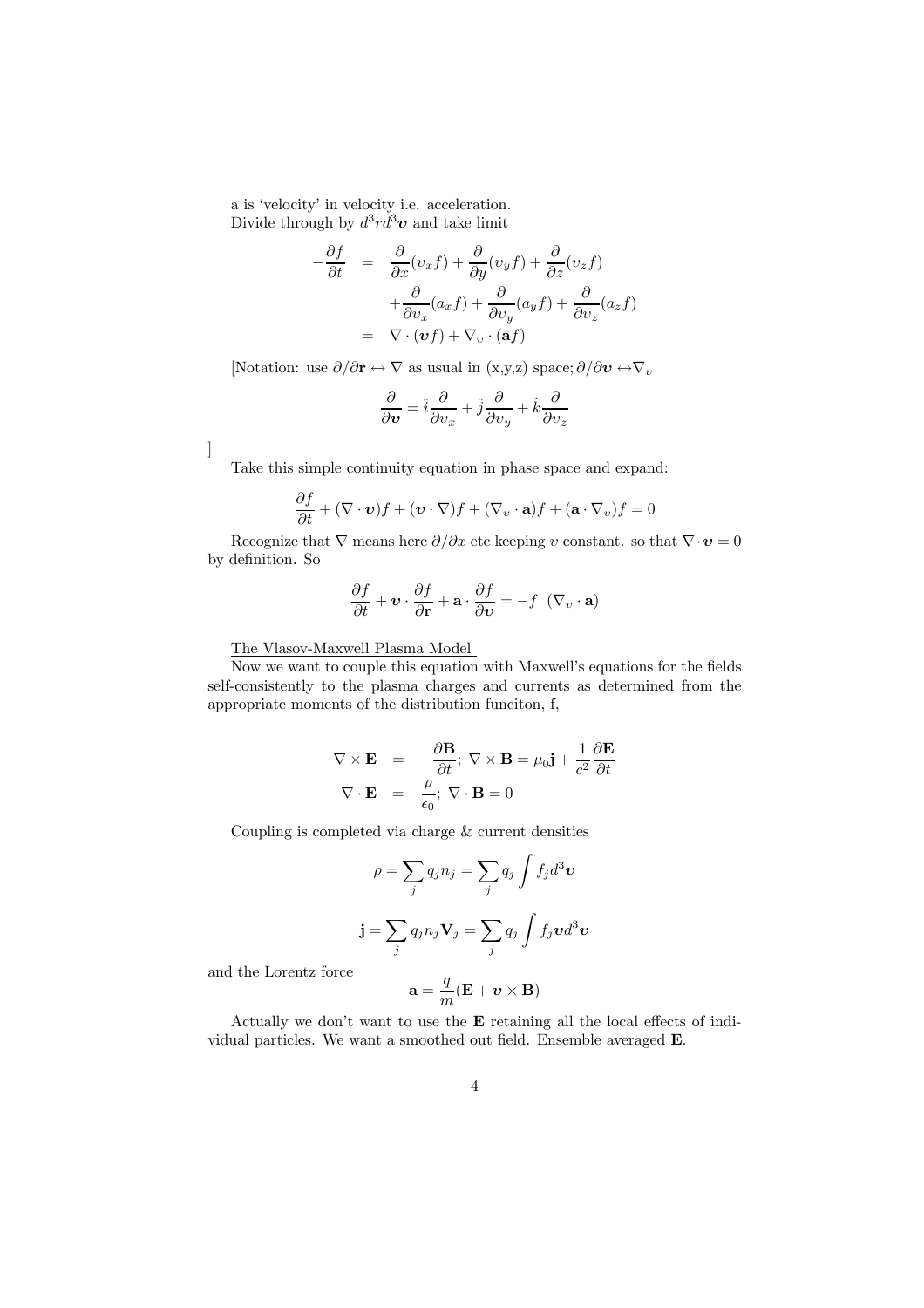a is 'velocity' in velocity i.e. acceleration. Divide through by  $d^3r d^3v$  and take limit

$$
-\frac{\partial f}{\partial t} = \frac{\partial}{\partial x}(v_x f) + \frac{\partial}{\partial y}(v_y f) + \frac{\partial}{\partial z}(v_z f) + \frac{\partial}{\partial v_x}(a_x f) + \frac{\partial}{\partial v_y}(a_y f) + \frac{\partial}{\partial v_z}(a_z f) = \nabla \cdot (\boldsymbol{v} f) + \nabla_{v} \cdot (\mathbf{a} f)
$$

[Notation: use  $\partial/\partial \mathbf{r} \leftrightarrow \nabla$  as usual in  $(x,y,z)$  space;  $\partial/\partial \mathbf{v} \leftrightarrow \nabla_y$ 

$$
\frac{\partial}{\partial \boldsymbol{v}} = \hat{i} \frac{\partial}{\partial v_x} + \hat{j} \frac{\partial}{\partial v_y} + \hat{k} \frac{\partial}{\partial v_z}
$$

]

Take this simple continuity equation in phase space and expand:

$$
\frac{\partial f}{\partial t} + (\nabla \cdot \mathbf{v})f + (\mathbf{v} \cdot \nabla)f + (\nabla_v \cdot \mathbf{a})f + (\mathbf{a} \cdot \nabla_v)f = 0
$$

Recognize that  $\nabla$  means here  $\partial/\partial x$  etc keeping v constant. so that  $\nabla \cdot \mathbf{v} = 0$ by definition. So

$$
\frac{\partial f}{\partial t} + \mathbf{v} \cdot \frac{\partial f}{\partial \mathbf{r}} + \mathbf{a} \cdot \frac{\partial f}{\partial \mathbf{v}} = -f \ (\nabla_v \cdot \mathbf{a})
$$

The Vlasov-Maxwell Plasma Model

Now we want to couple this equation with Maxwell's equations for the fields self-consistently to the plasma charges and currents as determined from the appropriate moments of the distribution funciton, f,

$$
\nabla \times \mathbf{E} = -\frac{\partial \mathbf{B}}{\partial t}; \ \nabla \times \mathbf{B} = \mu_0 \mathbf{j} + \frac{1}{c^2} \frac{\partial \mathbf{E}}{\partial t}
$$

$$
\nabla \cdot \mathbf{E} = \frac{\rho}{\epsilon_0}; \ \nabla \cdot \mathbf{B} = 0
$$

Coupling is completed via charge & current densities

$$
\rho = \sum_{j} q_j n_j = \sum_{j} q_j \int f_j d^3 \mathbf{v}
$$

$$
\mathbf{j} = \sum_{j} q_j n_j \mathbf{V}_j = \sum_{j} q_j \int f_j \mathbf{v} d^3 \mathbf{v}
$$

and the Lorentz force

$$
\mathbf{a} = \frac{q}{m}(\mathbf{E} + \boldsymbol{v} \times \mathbf{B})
$$

Actually we don't want to use the E retaining all the local effects of individual particles. We want a smoothed out field. Ensemble averaged E.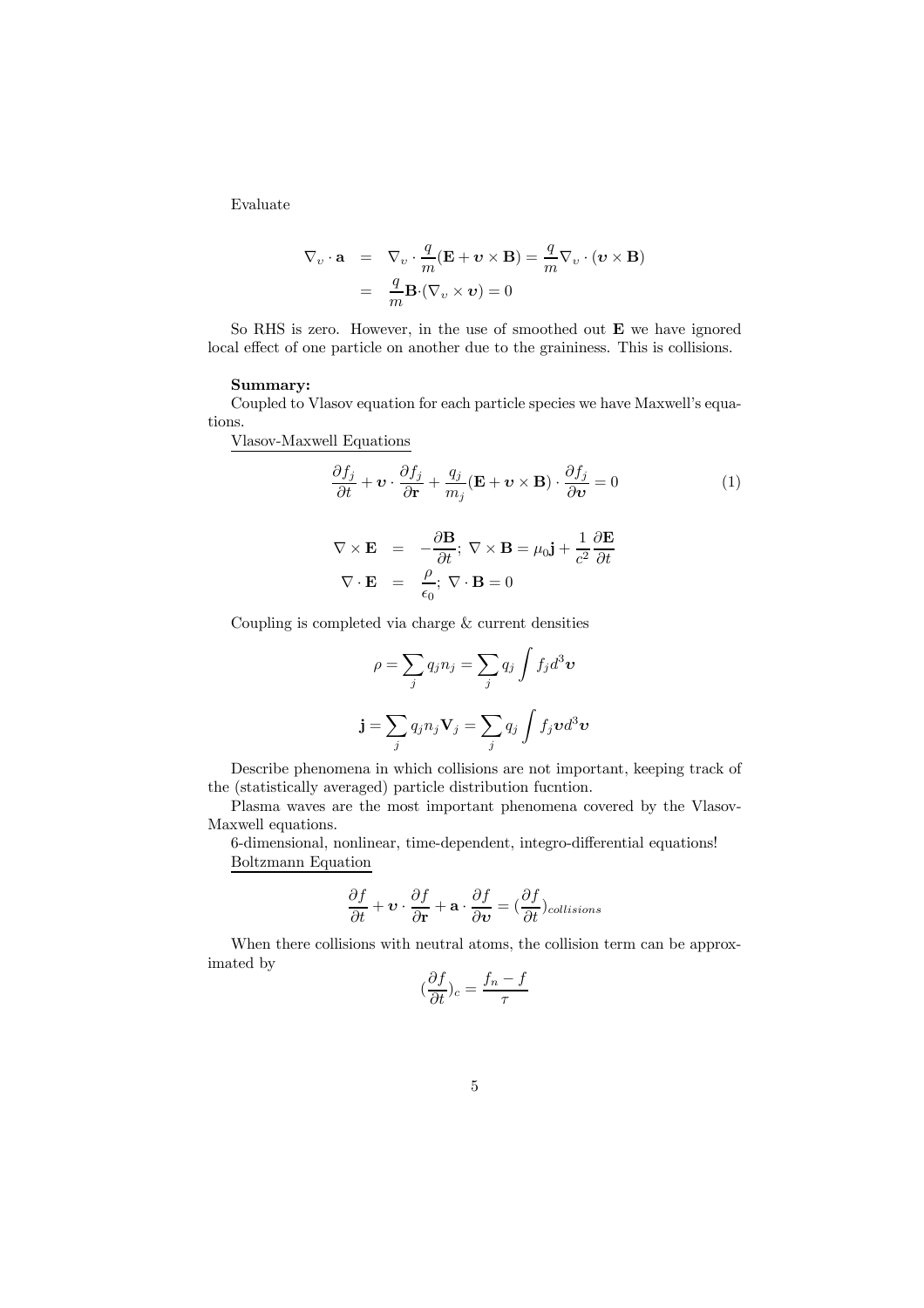Evaluate

$$
\nabla_{v} \cdot \mathbf{a} = \nabla_{v} \cdot \frac{q}{m} (\mathbf{E} + v \times \mathbf{B}) = \frac{q}{m} \nabla_{v} \cdot (v \times \mathbf{B})
$$

$$
= \frac{q}{m} \mathbf{B} \cdot (\nabla_{v} \times v) = 0
$$

So RHS is zero. However, in the use of smoothed out E we have ignored local effect of one particle on another due to the graininess. This is collisions.

#### Summary:

Coupled to Vlasov equation for each particle species we have Maxwell's equations.

Vlasov-Maxwell Equations

$$
\frac{\partial f_j}{\partial t} + \mathbf{v} \cdot \frac{\partial f_j}{\partial \mathbf{r}} + \frac{q_j}{m_j} (\mathbf{E} + \mathbf{v} \times \mathbf{B}) \cdot \frac{\partial f_j}{\partial \mathbf{v}} = 0
$$
\n
$$
\nabla \times \mathbf{E} = -\frac{\partial \mathbf{B}}{\partial t}; \ \nabla \times \mathbf{B} = \mu_0 \mathbf{j} + \frac{1}{c^2} \frac{\partial \mathbf{E}}{\partial t}
$$
\n
$$
\nabla \cdot \mathbf{E} = \frac{\rho}{\epsilon_0}; \ \nabla \cdot \mathbf{B} = 0
$$
\n(1)

Coupling is completed via charge & current densities

$$
\rho = \sum_{j} q_{j} n_{j} = \sum_{j} q_{j} \int f_{j} d^{3} \mathbf{v}
$$

$$
\mathbf{j} = \sum_{j} q_{j} n_{j} \mathbf{V}_{j} = \sum_{j} q_{j} \int f_{j} \mathbf{v} d^{3} \mathbf{v}
$$

Describe phenomena in which collisions are not important, keeping track of the (statistically averaged) particle distribution fucntion.

Plasma waves are the most important phenomena covered by the Vlasov-Maxwell equations.

6-dimensional, nonlinear, time-dependent, integro-differential equations! Boltzmann Equation

$$
\frac{\partial f}{\partial t} + \mathbf{v} \cdot \frac{\partial f}{\partial \mathbf{r}} + \mathbf{a} \cdot \frac{\partial f}{\partial \mathbf{v}} = \left(\frac{\partial f}{\partial t}\right)_{collisions}
$$

When there collisions with neutral atoms, the collision term can be approximated by

$$
(\frac{\partial f}{\partial t})_c=\frac{f_n-f}{\tau}
$$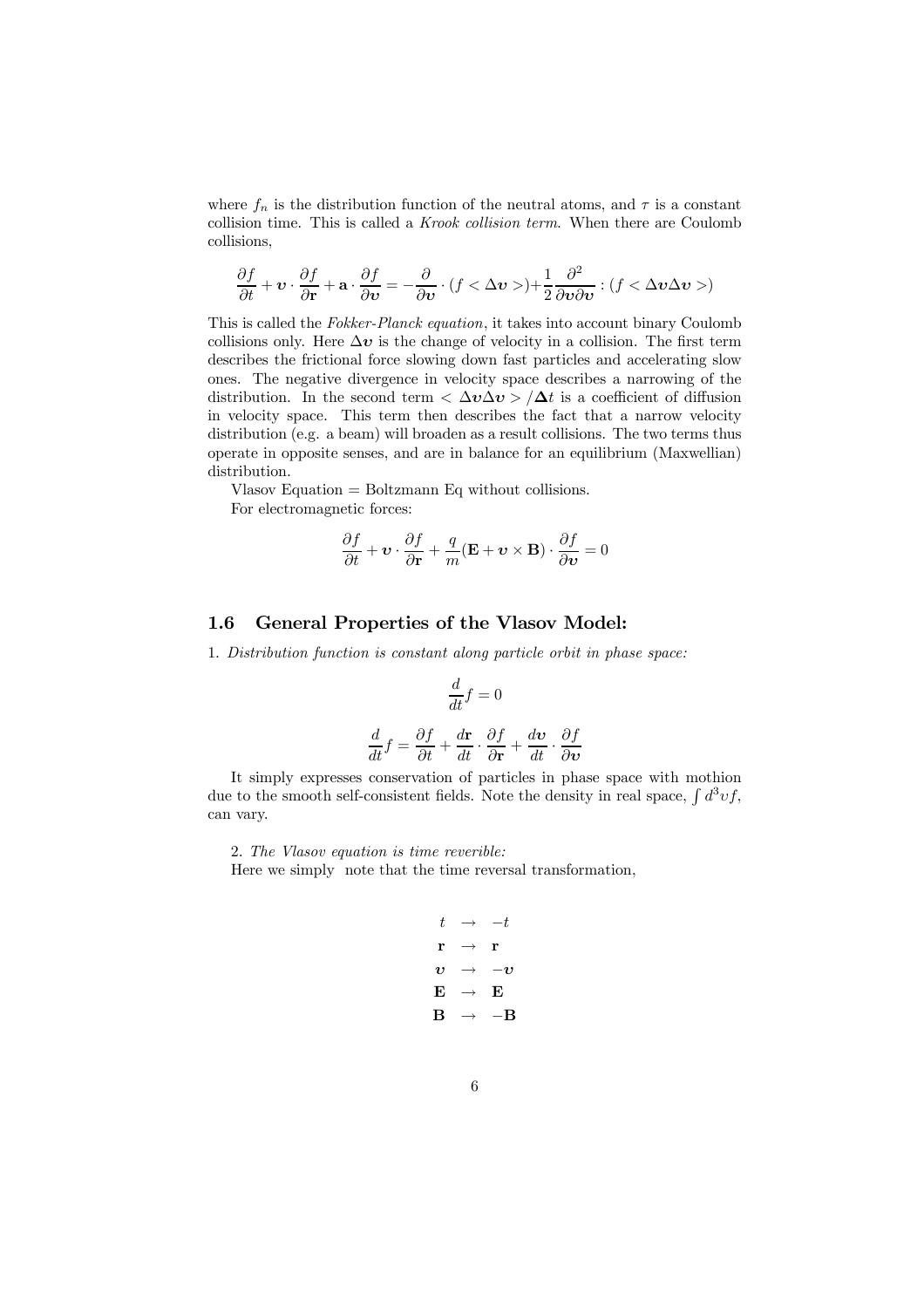where  $f_n$  is the distribution function of the neutral atoms, and  $\tau$  is a constant collision time. This is called a Krook collision term. When there are Coulomb collisions,

$$
\frac{\partial f}{\partial t} + \mathbf{v} \cdot \frac{\partial f}{\partial \mathbf{r}} + \mathbf{a} \cdot \frac{\partial f}{\partial \mathbf{v}} = -\frac{\partial}{\partial \mathbf{v}} \cdot (f < \Delta \mathbf{v} > + \frac{1}{2} \frac{\partial^2}{\partial \mathbf{v} \partial \mathbf{v}} : (f < \Delta \mathbf{v} \Delta \mathbf{v} >)
$$

This is called the Fokker-Planck equation, it takes into account binary Coulomb collisions only. Here  $\Delta v$  is the change of velocity in a collision. The first term describes the frictional force slowing down fast particles and accelerating slow ones. The negative divergence in velocity space describes a narrowing of the distribution. In the second term  $\langle \Delta v \Delta v \rangle / \Delta t$  is a coefficient of diffusion in velocity space. This term then describes the fact that a narrow velocity distribution (e.g. a beam) will broaden as a result collisions. The two terms thus operate in opposite senses, and are in balance for an equilibrium (Maxwellian) distribution.

Vlasov Equation = Boltzmann Eq without collisions.<br>For electromagnetic forces:

For electromagnetic forces:

$$
\frac{\partial f}{\partial t} + \mathbf{v} \cdot \frac{\partial f}{\partial \mathbf{r}} + \frac{q}{m} (\mathbf{E} + \mathbf{v} \times \mathbf{B}) \cdot \frac{\partial f}{\partial \mathbf{v}} = 0
$$

## 1.6 General Properties of the Vlasov Model:

1. Distribution function is constant along particle orbit in phase space:

$$
\frac{d}{dt}f = 0
$$

$$
\frac{d}{dt}f = \frac{\partial f}{\partial t} + \frac{d\mathbf{r}}{dt} \cdot \frac{\partial f}{\partial \mathbf{r}} + \frac{d\mathbf{v}}{dt} \cdot \frac{\partial f}{\partial \mathbf{v}}
$$

It simply expresses conservation of particles in phase space with mothion due to the smooth self-consistent fields. Note the density in real space,  $\int d^3v f$ , can vary.

2. The Vlasov equation is time reverible: Here we simply note that the time reversal transformation,

$$
t \rightarrow -t
$$
  
\n
$$
\mathbf{r} \rightarrow \mathbf{r}
$$
  
\n
$$
\mathbf{v} \rightarrow -\mathbf{v}
$$
  
\n
$$
\mathbf{E} \rightarrow \mathbf{E}
$$
  
\n
$$
\mathbf{B} \rightarrow -\mathbf{B}
$$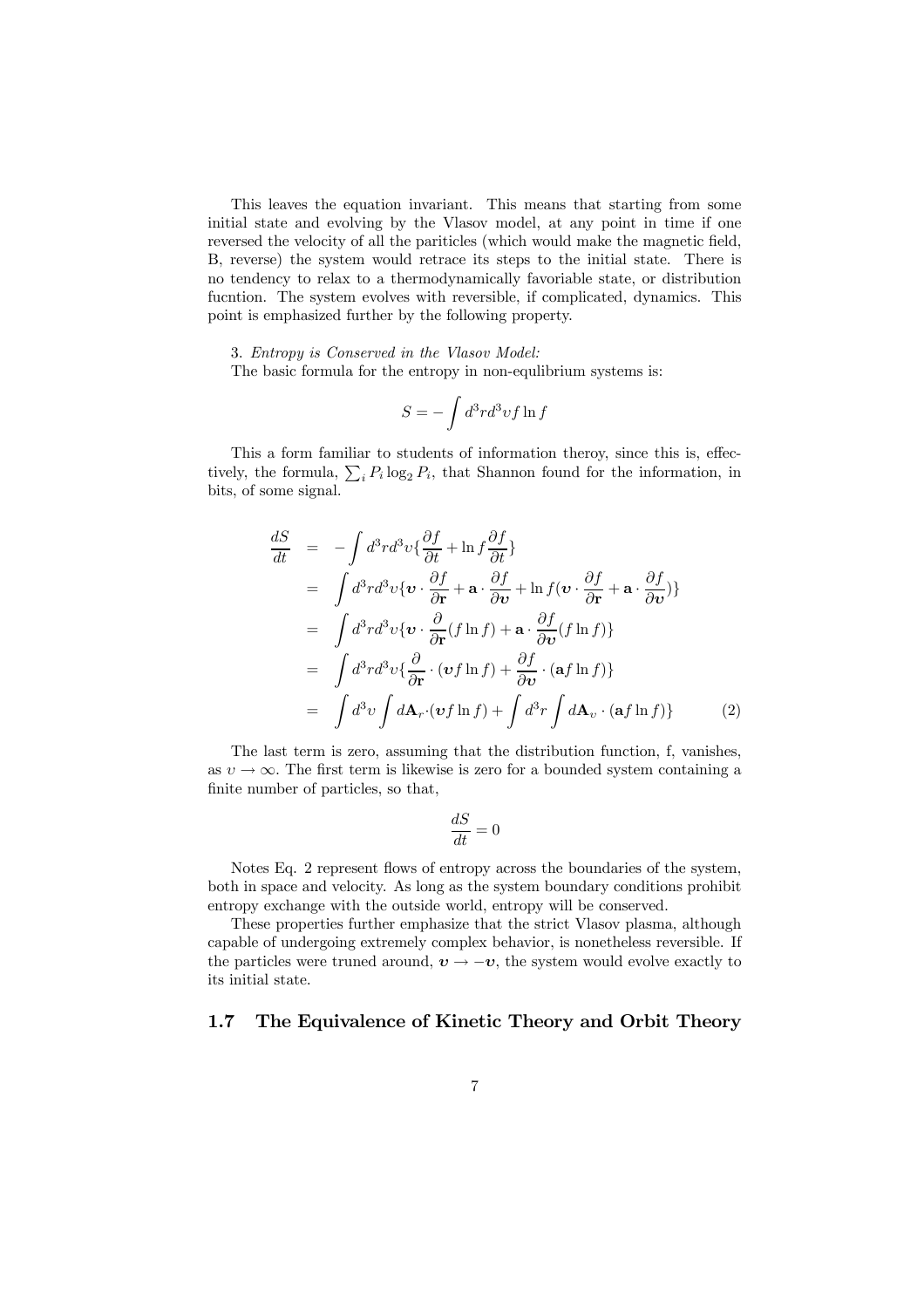This leaves the equation invariant. This means that starting from some initial state and evolving by the Vlasov model, at any point in time if one reversed the velocity of all the pariticles (which would make the magnetic field, B, reverse) the system would retrace its steps to the initial state. There is no tendency to relax to a thermodynamically favoriable state, or distribution fucntion. The system evolves with reversible, if complicated, dynamics. This point is emphasized further by the following property.

3. Entropy is Conserved in the Vlasov Model:

The basic formula for the entropy in non-equlibrium systems is:

$$
S=-\int d^3rd^3vf\ln f
$$

This a form familiar to students of information theroy, since this is, effectively, the formula,  $\sum_i P_i \log_2 P_i$ , that Shannon found for the information, in bits, of some signal.

$$
\frac{dS}{dt} = -\int d^3r d^3v \{ \frac{\partial f}{\partial t} + \ln f \frac{\partial f}{\partial t} \}
$$
\n
$$
= \int d^3r d^3v \{ \mathbf{v} \cdot \frac{\partial f}{\partial \mathbf{r}} + \mathbf{a} \cdot \frac{\partial f}{\partial \mathbf{v}} + \ln f (\mathbf{v} \cdot \frac{\partial f}{\partial \mathbf{r}} + \mathbf{a} \cdot \frac{\partial f}{\partial \mathbf{v}}) \}
$$
\n
$$
= \int d^3r d^3v \{ \mathbf{v} \cdot \frac{\partial}{\partial \mathbf{r}} (f \ln f) + \mathbf{a} \cdot \frac{\partial f}{\partial \mathbf{v}} (f \ln f) \}
$$
\n
$$
= \int d^3r d^3v \{ \frac{\partial}{\partial \mathbf{r}} \cdot (\mathbf{v} f \ln f) + \frac{\partial f}{\partial \mathbf{v}} \cdot (\mathbf{a} f \ln f) \}
$$
\n
$$
= \int d^3v \int d\mathbf{A}_r \cdot (\mathbf{v} f \ln f) + \int d^3r \int d\mathbf{A}_v \cdot (\mathbf{a} f \ln f) \}
$$
\n(2)

The last term is zero, assuming that the distribution function, f, vanishes, as  $v \to \infty$ . The first term is likewise is zero for a bounded system containing a finite number of particles, so that,

$$
\frac{dS}{dt}=0
$$

Notes Eq. 2 represent flows of entropy across the boundaries of the system, both in space and velocity. As long as the system boundary conditions prohibit entropy exchange with the outside world, entropy will be conserved.

These properties further emphasize that the strict Vlasov plasma, although capable of undergoing extremely complex behavior, is nonetheless reversible. If the particles were truned around,  $v \rightarrow -v$ , the system would evolve exactly to its initial state.

## 1.7 The Equivalence of Kinetic Theory and Orbit Theory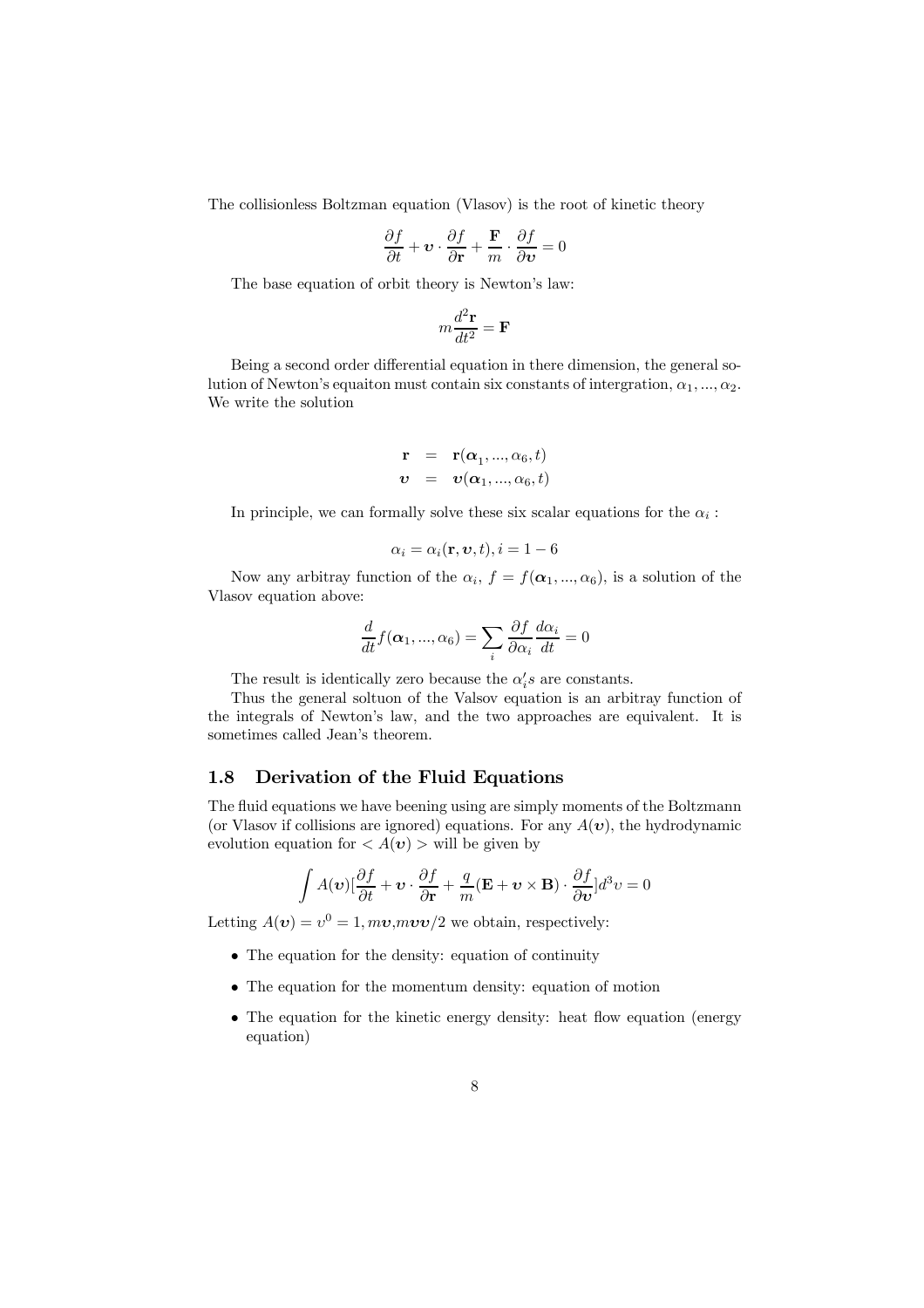The collisionless Boltzman equation (Vlasov) is the root of kinetic theory

$$
\frac{\partial f}{\partial t} + \mathbf{v} \cdot \frac{\partial f}{\partial \mathbf{r}} + \frac{\mathbf{F}}{m} \cdot \frac{\partial f}{\partial \mathbf{v}} = 0
$$

The base equation of orbit theory is Newton's law:

$$
m\frac{d^2\mathbf{r}}{dt^2} = \mathbf{F}
$$

Being a second order differential equation in there dimension, the general solution of Newton's equaiton must contain six constants of intergration,  $\alpha_1, ..., \alpha_2$ . We write the solution

$$
\begin{array}{rcl}\n\mathbf{r} & = & \mathbf{r}(\boldsymbol{\alpha}_1, ..., \boldsymbol{\alpha}_6, t) \\
\boldsymbol{v} & = & \boldsymbol{v}(\boldsymbol{\alpha}_1, ..., \boldsymbol{\alpha}_6, t)\n\end{array}
$$

In principle, we can formally solve these six scalar equations for the  $\alpha_i$ :

$$
\alpha_i = \alpha_i(\mathbf{r}, \mathbf{v}, t), i = 1 - 6
$$

Now any arbitray function of the  $\alpha_i$ ,  $f = f(\alpha_1, ..., \alpha_6)$ , is a solution of the Vlasov equation above:

$$
\frac{d}{dt}f(\alpha_1, ..., \alpha_6) = \sum_i \frac{\partial f}{\partial \alpha_i} \frac{d\alpha_i}{dt} = 0
$$

The result is identically zero because the  $\alpha_i$ 's are constants.

Thus the general soltuon of the Valsov equation is an arbitray function of the integrals of Newton's law, and the two approaches are equivalent. It is sometimes called Jean's theorem.

## 1.8 Derivation of the Fluid Equations

The fluid equations we have beening using are simply moments of the Boltzmann (or Vlasov if collisions are ignored) equations. For any  $A(\boldsymbol{v})$ , the hydrodynamic evolution equation for  $\langle A(\mathbf{v}) \rangle$  will be given by

$$
\int A(\mathbf{v})[\frac{\partial f}{\partial t} + \mathbf{v} \cdot \frac{\partial f}{\partial \mathbf{r}} + \frac{q}{m}(\mathbf{E} + \mathbf{v} \times \mathbf{B}) \cdot \frac{\partial f}{\partial \mathbf{v}}]d^3v = 0
$$

Letting  $A(v) = v^0 = 1, mv, mvv/2$  we obtain, respectively:

- The equation for the density: equation of continuity
- The equation for the momentum density: equation of motion
- The equation for the kinetic energy density: heat flow equation (energy equation)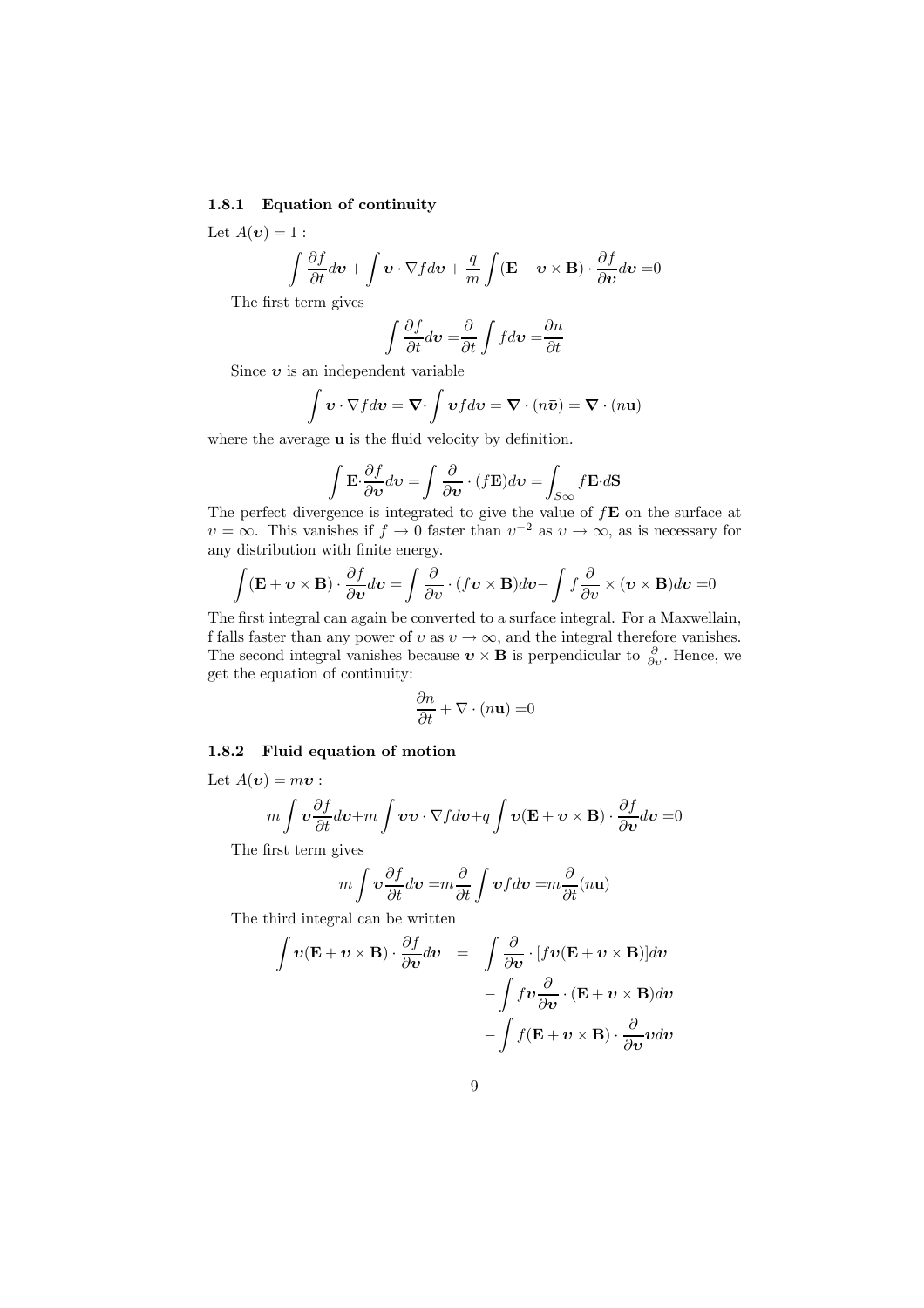#### 1.8.1 Equation of continuity

Let  $A(\boldsymbol{v})=1$ :

$$
\int \frac{\partial f}{\partial t} d\mathbf{v} + \int \mathbf{v} \cdot \nabla f d\mathbf{v} + \frac{q}{m} \int (\mathbf{E} + \mathbf{v} \times \mathbf{B}) \cdot \frac{\partial f}{\partial \mathbf{v}} d\mathbf{v} = 0
$$

The first term gives

$$
\int \frac{\partial f}{\partial t} d\mathbf{v} = \frac{\partial}{\partial t} \int f d\mathbf{v} = \frac{\partial n}{\partial t}
$$

Since  $v$  is an independent variable

$$
\int \mathbf{v} \cdot \nabla f d\mathbf{v} = \nabla \cdot \int \mathbf{v} f d\mathbf{v} = \nabla \cdot (n\bar{\mathbf{v}}) = \nabla \cdot (n\mathbf{u})
$$

where the average **u** is the fluid velocity by definition.

$$
\int \mathbf{E} \cdot \frac{\partial f}{\partial v} dv = \int \frac{\partial}{\partial v} \cdot (f\mathbf{E}) dv = \int_{S_{\infty}} f \mathbf{E} \cdot d\mathbf{S}
$$

The perfect divergence is integrated to give the value of  $f\mathbf{E}$  on the surface at  $v = \infty$ . This vanishes if  $f \to 0$  faster than  $v^{-2}$  as  $v \to \infty$ , as is necessary for any distribution with finite energy.

$$
\int (\mathbf{E} + \mathbf{v} \times \mathbf{B}) \cdot \frac{\partial f}{\partial \mathbf{v}} d\mathbf{v} = \int \frac{\partial}{\partial v} \cdot (f \mathbf{v} \times \mathbf{B}) d\mathbf{v} - \int f \frac{\partial}{\partial v} \times (\mathbf{v} \times \mathbf{B}) d\mathbf{v} = 0
$$

The first integral can again be converted to a surface integral. For a Maxwellain, f falls faster than any power of  $v$  as  $v \to \infty$ , and the integral therefore vanishes. The second integral vanishes because  $v \times B$  is perpendicular to  $\frac{\partial}{\partial v}$ . Hence, we get the equation of continuity:

$$
\frac{\partial n}{\partial t} + \nabla \cdot (n\mathbf{u}) = 0
$$

#### 1.8.2 Fluid equation of motion

Let  $A(\boldsymbol{v}) = m\boldsymbol{v}$ :

$$
m \int \mathbf{v} \frac{\partial f}{\partial t} d\mathbf{v} + m \int \mathbf{v} \mathbf{v} \cdot \nabla f d\mathbf{v} + q \int \mathbf{v} (\mathbf{E} + \mathbf{v} \times \mathbf{B}) \cdot \frac{\partial f}{\partial \mathbf{v}} d\mathbf{v} = 0
$$

The first term gives

$$
m\int \mathbf{v}\frac{\partial f}{\partial t}d\mathbf{v} = m\frac{\partial}{\partial t}\int \mathbf{v}f d\mathbf{v} = m\frac{\partial}{\partial t}(n\mathbf{u})
$$

The third integral can be written

$$
\int \mathbf{v}(\mathbf{E} + \mathbf{v} \times \mathbf{B}) \cdot \frac{\partial f}{\partial v} dv = \int \frac{\partial}{\partial v} \cdot [f\mathbf{v}(\mathbf{E} + \mathbf{v} \times \mathbf{B})] dv \n- \int f\mathbf{v} \frac{\partial}{\partial v} \cdot (\mathbf{E} + \mathbf{v} \times \mathbf{B}) dv \n- \int f(\mathbf{E} + \mathbf{v} \times \mathbf{B}) \cdot \frac{\partial}{\partial v} v dv
$$